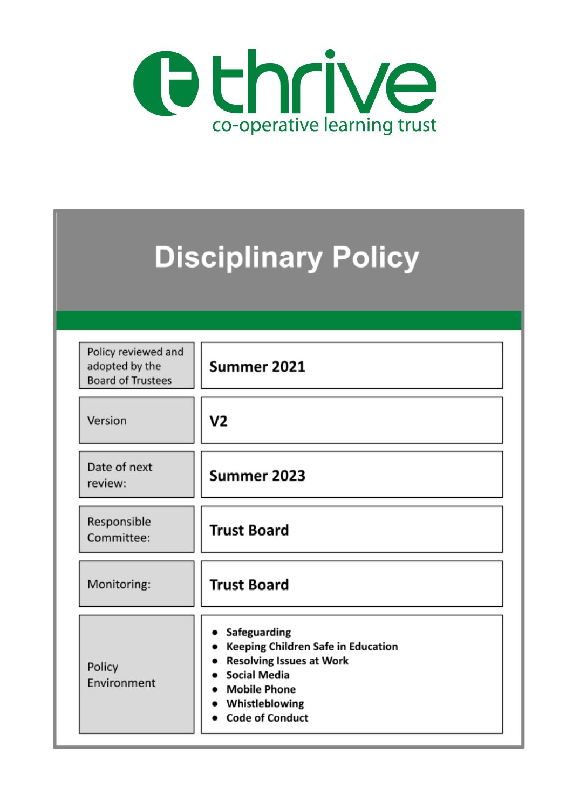

| <b>Disciplinary Policy</b>                                        |                                                                                                                                                                                 |  |  |  |  |
|-------------------------------------------------------------------|---------------------------------------------------------------------------------------------------------------------------------------------------------------------------------|--|--|--|--|
| Policy reviewed and<br>adopted by the<br><b>Board of Trustees</b> | Summer 2021                                                                                                                                                                     |  |  |  |  |
| Version                                                           | V2                                                                                                                                                                              |  |  |  |  |
| Date of next<br>review:                                           | Summer 2023                                                                                                                                                                     |  |  |  |  |
| Responsible<br>Committee:                                         | <b>Trust Board</b>                                                                                                                                                              |  |  |  |  |
| Monitoring:                                                       | <b>Trust Board</b>                                                                                                                                                              |  |  |  |  |
| Policy<br>Environment                                             | Safeguarding<br>Keeping Children Safe in Education<br><b>Resolving Issues at Work</b><br><b>Social Media</b><br><b>Mobile Phone</b><br>Whistleblowing<br><b>Code of Conduct</b> |  |  |  |  |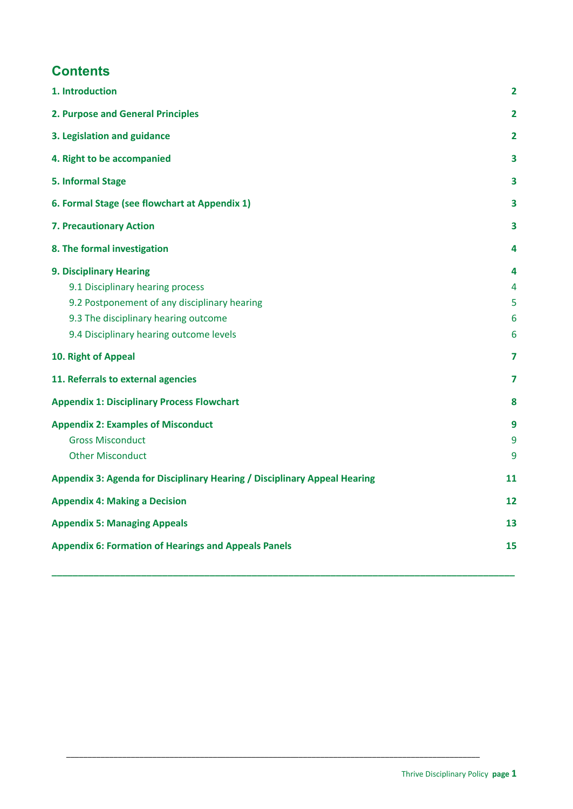# **Contents**

| 1. Introduction                                                           | $\overline{\mathbf{2}}$ |
|---------------------------------------------------------------------------|-------------------------|
| 2. Purpose and General Principles                                         | $\overline{\mathbf{2}}$ |
| 3. Legislation and guidance                                               | $\mathbf{2}$            |
| 4. Right to be accompanied                                                | 3                       |
| 5. Informal Stage                                                         | 3                       |
| 6. Formal Stage (see flowchart at Appendix 1)                             | 3                       |
| 7. Precautionary Action                                                   | 3                       |
| 8. The formal investigation                                               | 4                       |
| <b>9. Disciplinary Hearing</b>                                            | 4                       |
| 9.1 Disciplinary hearing process                                          | 4                       |
| 9.2 Postponement of any disciplinary hearing                              | 5                       |
| 9.3 The disciplinary hearing outcome                                      | 6                       |
| 9.4 Disciplinary hearing outcome levels                                   | 6                       |
| 10. Right of Appeal                                                       | 7                       |
| 11. Referrals to external agencies                                        | 7                       |
| <b>Appendix 1: Disciplinary Process Flowchart</b>                         | 8                       |
| <b>Appendix 2: Examples of Misconduct</b>                                 | 9                       |
| <b>Gross Misconduct</b>                                                   | 9                       |
| <b>Other Misconduct</b>                                                   | 9                       |
| Appendix 3: Agenda for Disciplinary Hearing / Disciplinary Appeal Hearing | 11                      |
| <b>Appendix 4: Making a Decision</b>                                      | 12                      |
| <b>Appendix 5: Managing Appeals</b>                                       | 13                      |
| <b>Appendix 6: Formation of Hearings and Appeals Panels</b>               | 15                      |

**\_\_\_\_\_\_\_\_\_\_\_\_\_\_\_\_\_\_\_\_\_\_\_\_\_\_\_\_\_\_\_\_\_\_\_\_\_\_\_\_\_\_\_\_\_\_\_\_\_\_\_\_\_\_\_\_\_\_\_\_\_\_\_\_\_\_\_\_\_\_\_\_\_\_\_\_\_\_\_\_\_\_\_\_\_\_\_\_**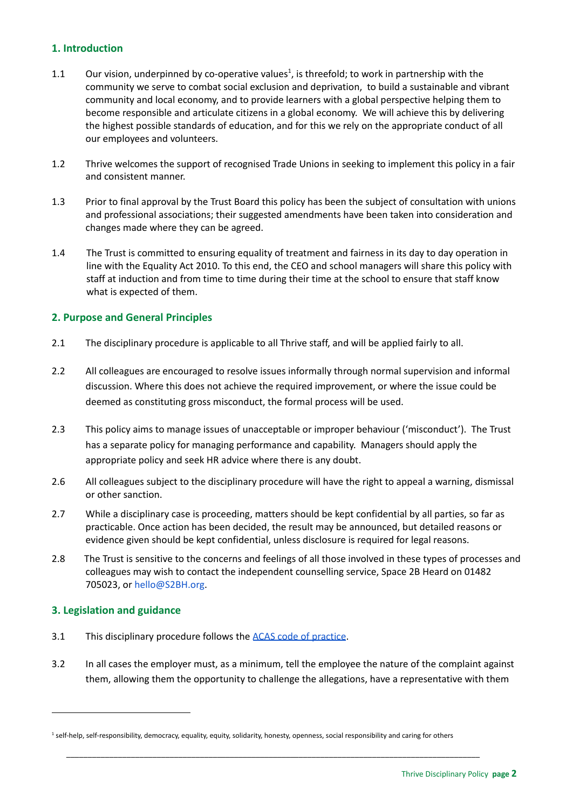# <span id="page-2-0"></span>**1. Introduction**

- 1.1 Our vision, underpinned by co-operative values<sup>1</sup>, is threefold; to work in partnership with the community we serve to combat social exclusion and deprivation, to build a sustainable and vibrant community and local economy, and to provide learners with a global perspective helping them to become responsible and articulate citizens in a global economy. We will achieve this by delivering the highest possible standards of education, and for this we rely on the appropriate conduct of all our employees and volunteers.
- 1.2 Thrive welcomes the support of recognised Trade Unions in seeking to implement this policy in a fair and consistent manner.
- 1.3 Prior to final approval by the Trust Board this policy has been the subject of consultation with unions and professional associations; their suggested amendments have been taken into consideration and changes made where they can be agreed.
- 1.4 The Trust is committed to ensuring equality of treatment and fairness in its day to day operation in line with the Equality Act 2010. To this end, the CEO and school managers will share this policy with staff at induction and from time to time during their time at the school to ensure that staff know what is expected of them.

# <span id="page-2-1"></span>**2. Purpose and General Principles**

- 2.1 The disciplinary procedure is applicable to all Thrive staff, and will be applied fairly to all.
- 2.2 All colleagues are encouraged to resolve issues informally through normal supervision and informal discussion. Where this does not achieve the required improvement, or where the issue could be deemed as constituting gross misconduct, the formal process will be used.
- 2.3 This policy aims to manage issues of unacceptable or improper behaviour ('misconduct'). The Trust has a separate policy for managing performance and capability. Managers should apply the appropriate policy and seek HR advice where there is any doubt.
- 2.6 All colleagues subject to the disciplinary procedure will have the right to appeal a warning, dismissal or other sanction.
- 2.7 While a disciplinary case is proceeding, matters should be kept confidential by all parties, so far as practicable. Once action has been decided, the result may be announced, but detailed reasons or evidence given should be kept confidential, unless disclosure is required for legal reasons.
- 2.8 The Trust is sensitive to the concerns and feelings of all those involved in these types of processes and colleagues may wish to contact the independent counselling service, Space 2B Heard on 01482 705023, or [hello@S2BH.org.](mailto:hello@S2BH.org)

### <span id="page-2-2"></span>**3. Legislation and guidance**

- 3.1 This disciplinary procedure follows the ACAS code of [practice](https://www.acas.org.uk/disciplinary-procedure-step-by-step).
- 3.2 In all cases the employer must, as a minimum, tell the employee the nature of the complaint against them, allowing them the opportunity to challenge the allegations, have a representative with them

<sup>&</sup>lt;sup>1</sup> self-help, self-responsibility, democracy, equality, equity, solidarity, honesty, openness, social responsibility and caring for others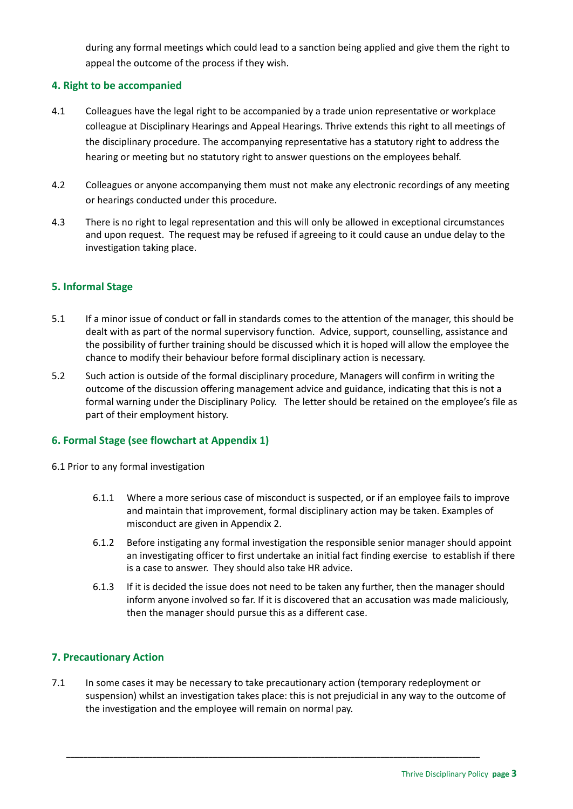during any formal meetings which could lead to a sanction being applied and give them the right to appeal the outcome of the process if they wish.

# <span id="page-3-0"></span>**4. Right to be accompanied**

- 4.1 Colleagues have the legal right to be accompanied by a trade union representative or workplace colleague at Disciplinary Hearings and Appeal Hearings. Thrive extends this right to all meetings of the disciplinary procedure. The accompanying representative has a statutory right to address the hearing or meeting but no statutory right to answer questions on the employees behalf.
- 4.2 Colleagues or anyone accompanying them must not make any electronic recordings of any meeting or hearings conducted under this procedure.
- 4.3 There is no right to legal representation and this will only be allowed in exceptional circumstances and upon request. The request may be refused if agreeing to it could cause an undue delay to the investigation taking place.

# <span id="page-3-1"></span>**5. Informal Stage**

- 5.1 If a minor issue of conduct or fall in standards comes to the attention of the manager, this should be dealt with as part of the normal supervisory function. Advice, support, counselling, assistance and the possibility of further training should be discussed which it is hoped will allow the employee the chance to modify their behaviour before formal disciplinary action is necessary.
- 5.2 Such action is outside of the formal disciplinary procedure, Managers will confirm in writing the outcome of the discussion offering management advice and guidance, indicating that this is not a formal warning under the Disciplinary Policy. The letter should be retained on the employee's file as part of their employment history.

### <span id="page-3-2"></span>**6. Formal Stage (see flowchart at Appendix 1)**

- 6.1 Prior to any formal investigation
	- 6.1.1 Where a more serious case of misconduct is suspected, or if an employee fails to improve and maintain that improvement, formal disciplinary action may be taken. Examples of misconduct are given in Appendix 2.
	- 6.1.2 Before instigating any formal investigation the responsible senior manager should appoint an investigating officer to first undertake an initial fact finding exercise to establish if there is a case to answer. They should also take HR advice.
	- 6.1.3 If it is decided the issue does not need to be taken any further, then the manager should inform anyone involved so far. If it is discovered that an accusation was made maliciously, then the manager should pursue this as a different case.

### <span id="page-3-3"></span>**7. Precautionary Action**

7.1 In some cases it may be necessary to take precautionary action (temporary redeployment or suspension) whilst an investigation takes place: this is not prejudicial in any way to the outcome of the investigation and the employee will remain on normal pay.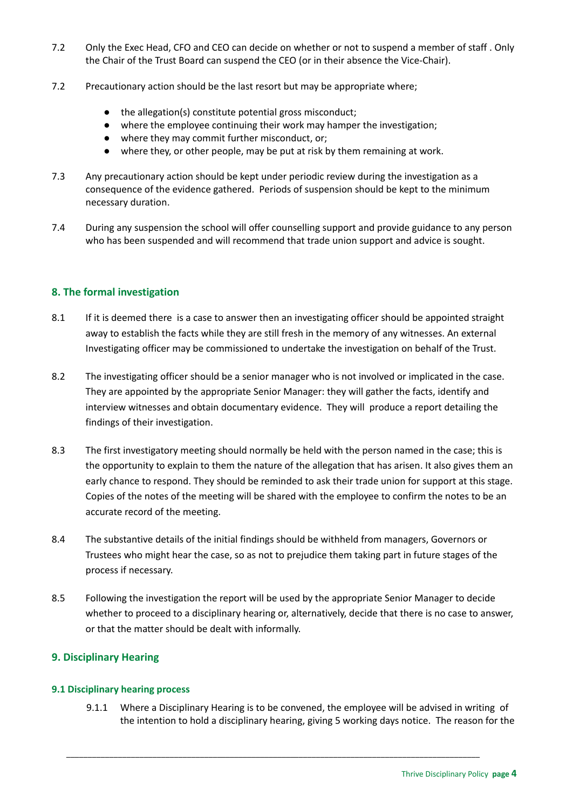- 7.2 Only the Exec Head, CFO and CEO can decide on whether or not to suspend a member of staff . Only the Chair of the Trust Board can suspend the CEO (or in their absence the Vice-Chair).
- 7.2 Precautionary action should be the last resort but may be appropriate where;
	- the allegation(s) constitute potential gross misconduct;
	- where the employee continuing their work may hamper the investigation;
	- where they may commit further misconduct, or;
	- where they, or other people, may be put at risk by them remaining at work.
- 7.3 Any precautionary action should be kept under periodic review during the investigation as a consequence of the evidence gathered. Periods of suspension should be kept to the minimum necessary duration.
- 7.4 During any suspension the school will offer counselling support and provide guidance to any person who has been suspended and will recommend that trade union support and advice is sought.

# <span id="page-4-0"></span>**8. The formal investigation**

- 8.1 If it is deemed there is a case to answer then an investigating officer should be appointed straight away to establish the facts while they are still fresh in the memory of any witnesses. An external Investigating officer may be commissioned to undertake the investigation on behalf of the Trust.
- 8.2 The investigating officer should be a senior manager who is not involved or implicated in the case. They are appointed by the appropriate Senior Manager: they will gather the facts, identify and interview witnesses and obtain documentary evidence. They will produce a report detailing the findings of their investigation.
- 8.3 The first investigatory meeting should normally be held with the person named in the case; this is the opportunity to explain to them the nature of the allegation that has arisen. It also gives them an early chance to respond. They should be reminded to ask their trade union for support at this stage. Copies of the notes of the meeting will be shared with the employee to confirm the notes to be an accurate record of the meeting.
- 8.4 The substantive details of the initial findings should be withheld from managers, Governors or Trustees who might hear the case, so as not to prejudice them taking part in future stages of the process if necessary.
- 8.5 Following the investigation the report will be used by the appropriate Senior Manager to decide whether to proceed to a disciplinary hearing or, alternatively, decide that there is no case to answer, or that the matter should be dealt with informally.

# <span id="page-4-1"></span>**9. Disciplinary Hearing**

### <span id="page-4-2"></span>**9.1 Disciplinary hearing process**

9.1.1 Where a Disciplinary Hearing is to be convened, the employee will be advised in writing of the intention to hold a disciplinary hearing, giving 5 working days notice. The reason for the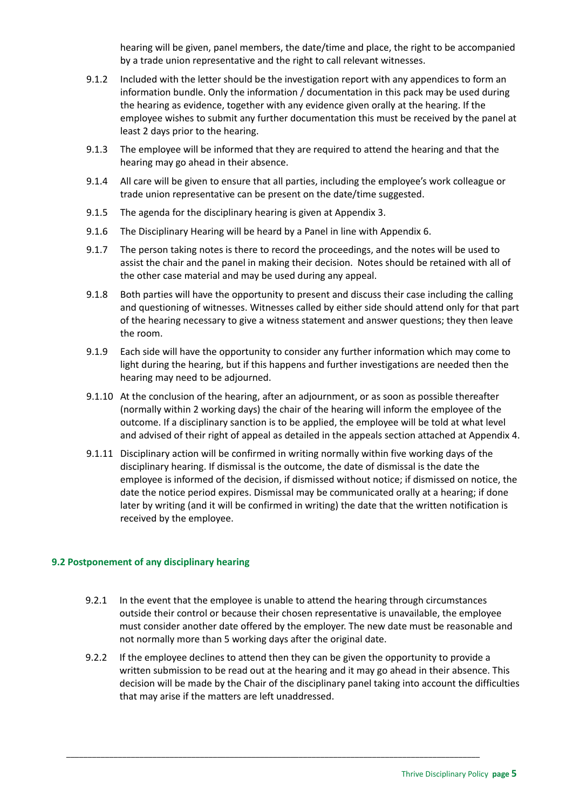hearing will be given, panel members, the date/time and place, the right to be accompanied by a trade union representative and the right to call relevant witnesses.

- 9.1.2 Included with the letter should be the investigation report with any appendices to form an information bundle. Only the information / documentation in this pack may be used during the hearing as evidence, together with any evidence given orally at the hearing. If the employee wishes to submit any further documentation this must be received by the panel at least 2 days prior to the hearing.
- 9.1.3 The employee will be informed that they are required to attend the hearing and that the hearing may go ahead in their absence.
- 9.1.4 All care will be given to ensure that all parties, including the employee's work colleague or trade union representative can be present on the date/time suggested.
- 9.1.5 The agenda for the disciplinary hearing is given at Appendix 3.
- 9.1.6 The Disciplinary Hearing will be heard by a Panel in line with Appendix 6.
- 9.1.7 The person taking notes is there to record the proceedings, and the notes will be used to assist the chair and the panel in making their decision. Notes should be retained with all of the other case material and may be used during any appeal.
- 9.1.8 Both parties will have the opportunity to present and discuss their case including the calling and questioning of witnesses. Witnesses called by either side should attend only for that part of the hearing necessary to give a witness statement and answer questions; they then leave the room.
- 9.1.9 Each side will have the opportunity to consider any further information which may come to light during the hearing, but if this happens and further investigations are needed then the hearing may need to be adjourned.
- 9.1.10 At the conclusion of the hearing, after an adjournment, or as soon as possible thereafter (normally within 2 working days) the chair of the hearing will inform the employee of the outcome. If a disciplinary sanction is to be applied, the employee will be told at what level and advised of their right of appeal as detailed in the appeals section attached at Appendix 4.
- 9.1.11 Disciplinary action will be confirmed in writing normally within five working days of the disciplinary hearing. If dismissal is the outcome, the date of dismissal is the date the employee is informed of the decision, if dismissed without notice; if dismissed on notice, the date the notice period expires. Dismissal may be communicated orally at a hearing; if done later by writing (and it will be confirmed in writing) the date that the written notification is received by the employee.

# <span id="page-5-0"></span>**9.2 Postponement of any disciplinary hearing**

- 9.2.1 In the event that the employee is unable to attend the hearing through circumstances outside their control or because their chosen representative is unavailable, the employee must consider another date offered by the employer. The new date must be reasonable and not normally more than 5 working days after the original date.
- 9.2.2 If the employee declines to attend then they can be given the opportunity to provide a written submission to be read out at the hearing and it may go ahead in their absence. This decision will be made by the Chair of the disciplinary panel taking into account the difficulties that may arise if the matters are left unaddressed.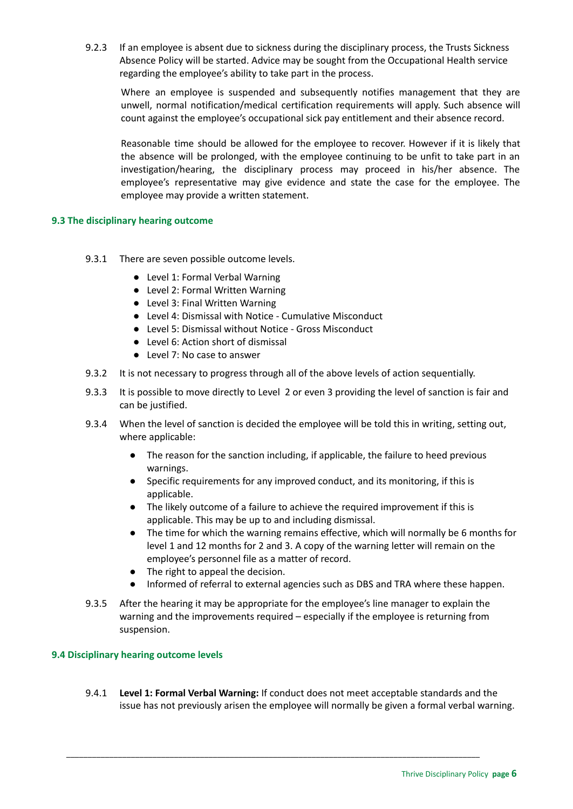9.2.3 If an employee is absent due to sickness during the disciplinary process, the Trusts Sickness Absence Policy will be started. Advice may be sought from the Occupational Health service regarding the employee's ability to take part in the process.

Where an employee is suspended and subsequently notifies management that they are unwell, normal notification/medical certification requirements will apply. Such absence will count against the employee's occupational sick pay entitlement and their absence record.

Reasonable time should be allowed for the employee to recover. However if it is likely that the absence will be prolonged, with the employee continuing to be unfit to take part in an investigation/hearing, the disciplinary process may proceed in his/her absence. The employee's representative may give evidence and state the case for the employee. The employee may provide a written statement.

### <span id="page-6-0"></span>**9.3 The disciplinary hearing outcome**

- 9.3.1 There are seven possible outcome levels.
	- Level 1: Formal Verbal Warning
	- Level 2: Formal Written Warning
	- Level 3: Final Written Warning
	- Level 4: Dismissal with Notice Cumulative Misconduct
	- Level 5: Dismissal without Notice Gross Misconduct
	- Level 6: Action short of dismissal
	- Level 7: No case to answer
- 9.3.2 It is not necessary to progress through all of the above levels of action sequentially.
- 9.3.3 It is possible to move directly to Level 2 or even 3 providing the level of sanction is fair and can be justified.
- 9.3.4 When the level of sanction is decided the employee will be told this in writing, setting out, where applicable:
	- The reason for the sanction including, if applicable, the failure to heed previous warnings.
	- Specific requirements for any improved conduct, and its monitoring, if this is applicable.
	- The likely outcome of a failure to achieve the required improvement if this is applicable. This may be up to and including dismissal.
	- The time for which the warning remains effective, which will normally be 6 months for level 1 and 12 months for 2 and 3. A copy of the warning letter will remain on the employee's personnel file as a matter of record.
	- The right to appeal the decision.
	- Informed of referral to external agencies such as DBS and TRA where these happen.
- 9.3.5 After the hearing it may be appropriate for the employee's line manager to explain the warning and the improvements required – especially if the employee is returning from suspension.

### <span id="page-6-1"></span>**9.4 Disciplinary hearing outcome levels**

9.4.1 **Level 1: Formal Verbal Warning:** If conduct does not meet acceptable standards and the issue has not previously arisen the employee will normally be given a formal verbal warning.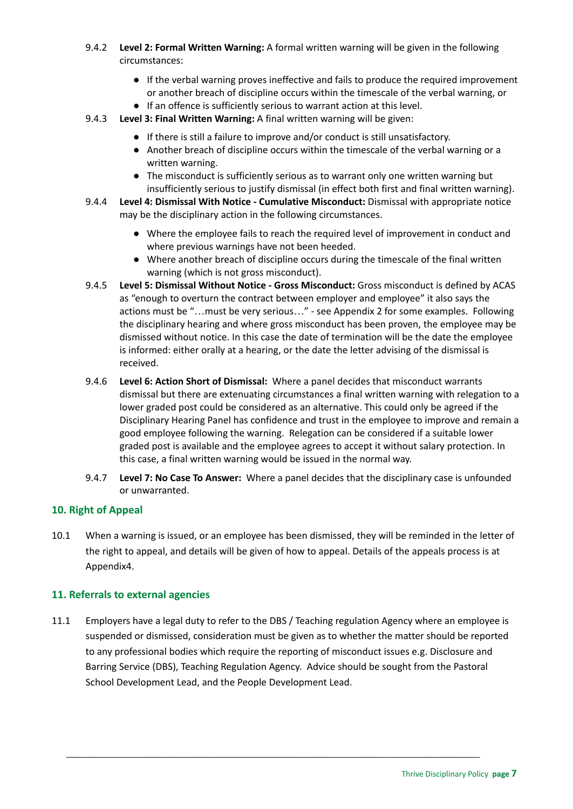- 9.4.2 **Level 2: Formal Written Warning:** A formal written warning will be given in the following circumstances:
	- If the verbal warning proves ineffective and fails to produce the required improvement or another breach of discipline occurs within the timescale of the verbal warning, or
	- If an offence is sufficiently serious to warrant action at this level.
- 9.4.3 **Level 3: Final Written Warning:** A final written warning will be given:
	- If there is still a failure to improve and/or conduct is still unsatisfactory.
	- Another breach of discipline occurs within the timescale of the verbal warning or a written warning.
	- The misconduct is sufficiently serious as to warrant only one written warning but insufficiently serious to justify dismissal (in effect both first and final written warning).
- 9.4.4 **Level 4: Dismissal With Notice - Cumulative Misconduct:** Dismissal with appropriate notice may be the disciplinary action in the following circumstances.
	- Where the employee fails to reach the required level of improvement in conduct and where previous warnings have not been heeded.
	- Where another breach of discipline occurs during the timescale of the final written warning (which is not gross misconduct).
- 9.4.5 **Level 5: Dismissal Without Notice - Gross Misconduct:** Gross misconduct is defined by ACAS as "enough to overturn the contract between employer and employee" it also says the actions must be "…must be very serious…" - see Appendix 2 for some examples. Following the disciplinary hearing and where gross misconduct has been proven, the employee may be dismissed without notice. In this case the date of termination will be the date the employee is informed: either orally at a hearing, or the date the letter advising of the dismissal is received.
- 9.4.6 **Level 6: Action Short of Dismissal:** Where a panel decides that misconduct warrants dismissal but there are extenuating circumstances a final written warning with relegation to a lower graded post could be considered as an alternative. This could only be agreed if the Disciplinary Hearing Panel has confidence and trust in the employee to improve and remain a good employee following the warning. Relegation can be considered if a suitable lower graded post is available and the employee agrees to accept it without salary protection. In this case, a final written warning would be issued in the normal way.
- 9.4.7 **Level 7: No Case To Answer:** Where a panel decides that the disciplinary case is unfounded or unwarranted.

# <span id="page-7-0"></span>**10. Right of Appeal**

10.1 When a warning is issued, or an employee has been dismissed, they will be reminded in the letter of the right to appeal, and details will be given of how to appeal. Details of the appeals process is at Appendix4.

# <span id="page-7-1"></span>**11. Referrals to external agencies**

11.1 Employers have a legal duty to refer to the DBS / Teaching regulation Agency where an employee is suspended or dismissed, consideration must be given as to whether the matter should be reported to any professional bodies which require the reporting of misconduct issues e.g. Disclosure and Barring Service (DBS), Teaching Regulation Agency. Advice should be sought from the Pastoral School Development Lead, and the People Development Lead.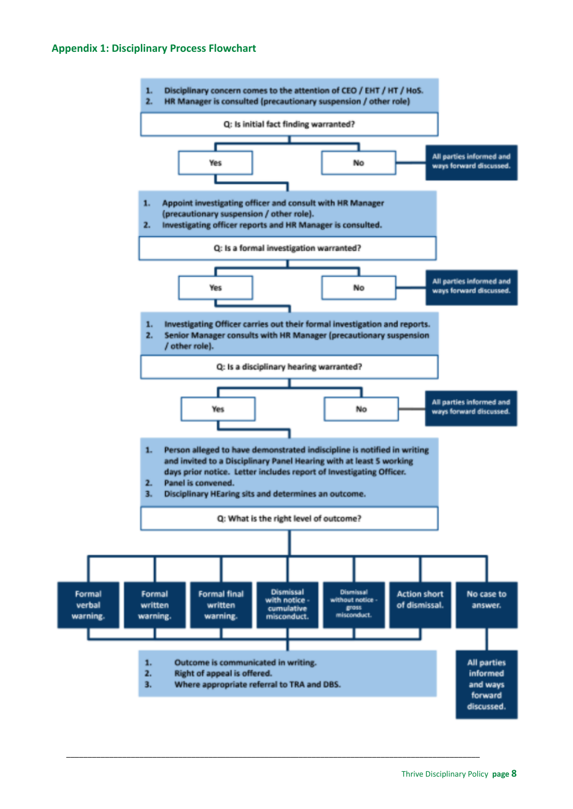### <span id="page-8-0"></span>**Appendix 1: Disciplinary Process Flowchart**

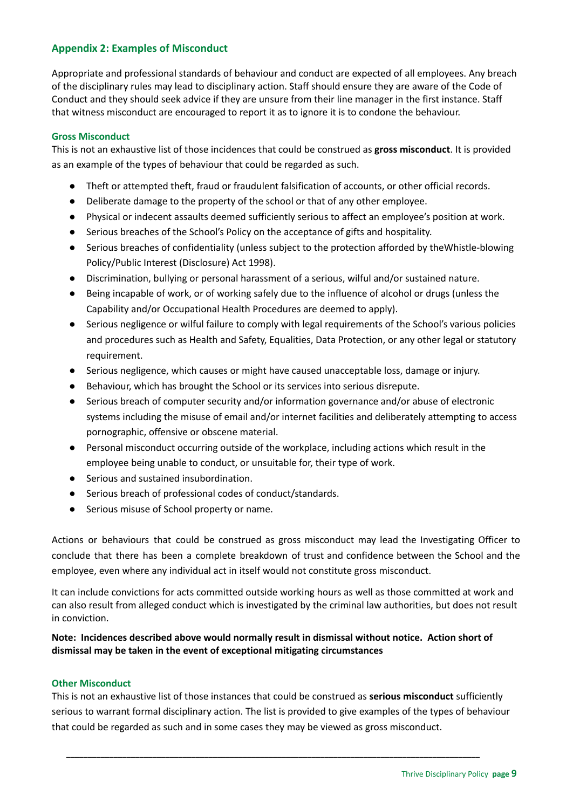# <span id="page-9-0"></span>**Appendix 2: Examples of Misconduct**

Appropriate and professional standards of behaviour and conduct are expected of all employees. Any breach of the disciplinary rules may lead to disciplinary action. Staff should ensure they are aware of the Code of Conduct and they should seek advice if they are unsure from their line manager in the first instance. Staff that witness misconduct are encouraged to report it as to ignore it is to condone the behaviour.

### <span id="page-9-1"></span>**Gross Misconduct**

This is not an exhaustive list of those incidences that could be construed as **gross misconduct**. It is provided as an example of the types of behaviour that could be regarded as such.

- Theft or attempted theft, fraud or fraudulent falsification of accounts, or other official records.
- Deliberate damage to the property of the school or that of any other employee.
- Physical or indecent assaults deemed sufficiently serious to affect an employee's position at work.
- Serious breaches of the School's Policy on the acceptance of gifts and hospitality.
- Serious breaches of confidentiality (unless subject to the protection afforded by theWhistle-blowing Policy/Public Interest (Disclosure) Act 1998).
- Discrimination, bullying or personal harassment of a serious, wilful and/or sustained nature.
- Being incapable of work, or of working safely due to the influence of alcohol or drugs (unless the Capability and/or Occupational Health Procedures are deemed to apply).
- Serious negligence or wilful failure to comply with legal requirements of the School's various policies and procedures such as Health and Safety, Equalities, Data Protection, or any other legal or statutory requirement.
- Serious negligence, which causes or might have caused unacceptable loss, damage or injury.
- Behaviour, which has brought the School or its services into serious disrepute.
- Serious breach of computer security and/or information governance and/or abuse of electronic systems including the misuse of email and/or internet facilities and deliberately attempting to access pornographic, offensive or obscene material.
- Personal misconduct occurring outside of the workplace, including actions which result in the employee being unable to conduct, or unsuitable for, their type of work.
- Serious and sustained insubordination.
- Serious breach of professional codes of conduct/standards.
- Serious misuse of School property or name.

Actions or behaviours that could be construed as gross misconduct may lead the Investigating Officer to conclude that there has been a complete breakdown of trust and confidence between the School and the employee, even where any individual act in itself would not constitute gross misconduct.

It can include convictions for acts committed outside working hours as well as those committed at work and can also result from alleged conduct which is investigated by the criminal law authorities, but does not result in conviction.

# **Note: Incidences described above would normally result in dismissal without notice. Action short of dismissal may be taken in the event of exceptional mitigating circumstances**

### <span id="page-9-2"></span>**Other Misconduct**

This is not an exhaustive list of those instances that could be construed as **serious misconduct** sufficiently serious to warrant formal disciplinary action. The list is provided to give examples of the types of behaviour that could be regarded as such and in some cases they may be viewed as gross misconduct.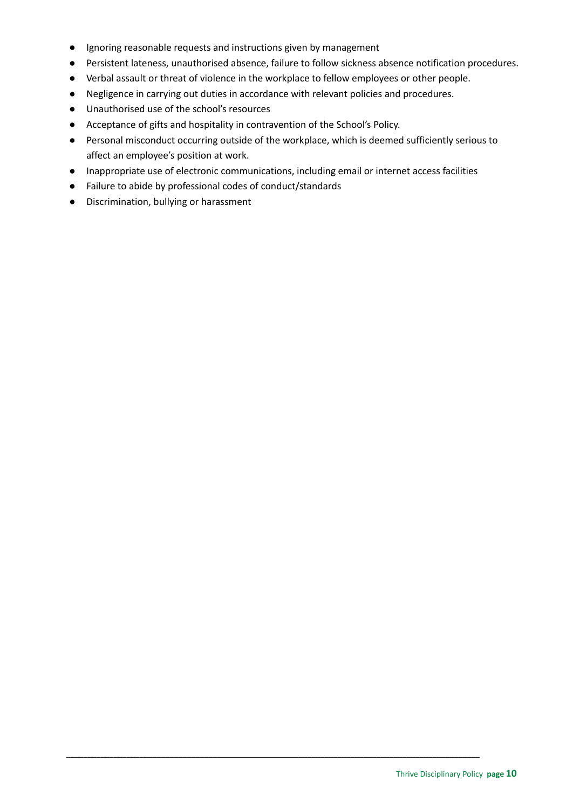- Ignoring reasonable requests and instructions given by management
- Persistent lateness, unauthorised absence, failure to follow sickness absence notification procedures.
- Verbal assault or threat of violence in the workplace to fellow employees or other people.
- Negligence in carrying out duties in accordance with relevant policies and procedures.
- Unauthorised use of the school's resources
- Acceptance of gifts and hospitality in contravention of the School's Policy.
- Personal misconduct occurring outside of the workplace, which is deemed sufficiently serious to affect an employee's position at work.
- Inappropriate use of electronic communications, including email or internet access facilities

- Failure to abide by professional codes of conduct/standards
- Discrimination, bullying or harassment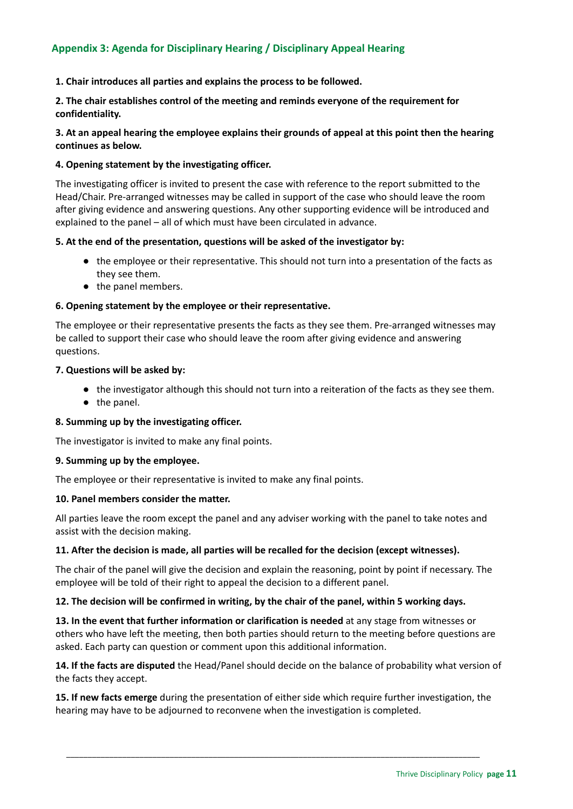# <span id="page-11-0"></span>**Appendix 3: Agenda for Disciplinary Hearing / Disciplinary Appeal Hearing**

**1. Chair introduces all parties and explains the process to be followed.**

**2. The chair establishes control of the meeting and reminds everyone of the requirement for confidentiality.**

3. At an appeal hearing the employee explains their grounds of appeal at this point then the hearing **continues as below.**

### **4. Opening statement by the investigating officer.**

The investigating officer is invited to present the case with reference to the report submitted to the Head/Chair. Pre-arranged witnesses may be called in support of the case who should leave the room after giving evidence and answering questions. Any other supporting evidence will be introduced and explained to the panel – all of which must have been circulated in advance.

### **5. At the end of the presentation, questions will be asked of the investigator by:**

- the employee or their representative. This should not turn into a presentation of the facts as they see them.
- the panel members.

### **6. Opening statement by the employee or their representative.**

The employee or their representative presents the facts as they see them. Pre-arranged witnesses may be called to support their case who should leave the room after giving evidence and answering questions.

### **7. Questions will be asked by:**

- the investigator although this should not turn into a reiteration of the facts as they see them.
- the panel.

### **8. Summing up by the investigating officer.**

The investigator is invited to make any final points.

### **9. Summing up by the employee.**

The employee or their representative is invited to make any final points.

### **10. Panel members consider the matter.**

All parties leave the room except the panel and any adviser working with the panel to take notes and assist with the decision making.

### **11. After the decision is made, all parties will be recalled for the decision (except witnesses).**

The chair of the panel will give the decision and explain the reasoning, point by point if necessary. The employee will be told of their right to appeal the decision to a different panel.

### **12. The decision will be confirmed in writing, by the chair of the panel, within 5 working days.**

**13. In the event that further information or clarification is needed** at any stage from witnesses or others who have left the meeting, then both parties should return to the meeting before questions are asked. Each party can question or comment upon this additional information.

**14. If the facts are disputed** the Head/Panel should decide on the balance of probability what version of the facts they accept.

**15. If new facts emerge** during the presentation of either side which require further investigation, the hearing may have to be adjourned to reconvene when the investigation is completed.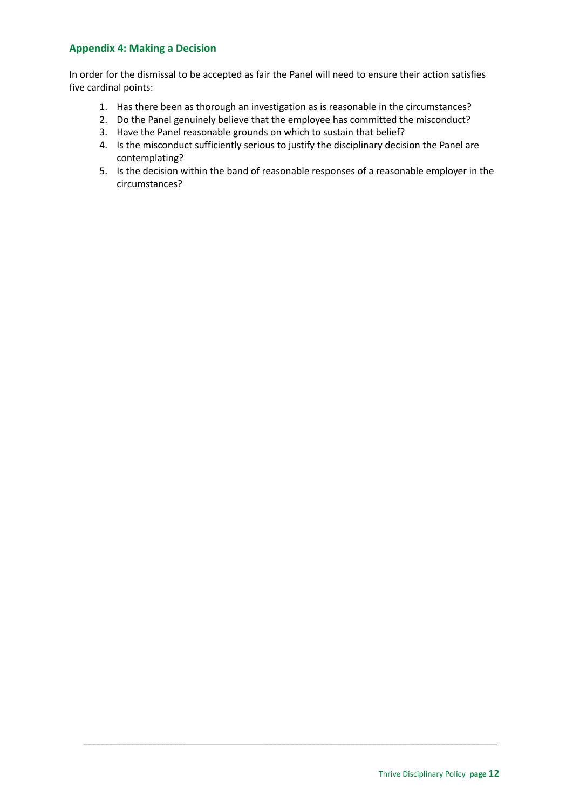# <span id="page-12-0"></span>**Appendix 4: Making a Decision**

In order for the dismissal to be accepted as fair the Panel will need to ensure their action satisfies five cardinal points:

- 1. Has there been as thorough an investigation as is reasonable in the circumstances?
- 2. Do the Panel genuinely believe that the employee has committed the misconduct?
- 3. Have the Panel reasonable grounds on which to sustain that belief?
- 4. Is the misconduct sufficiently serious to justify the disciplinary decision the Panel are contemplating?

\_\_\_\_\_\_\_\_\_\_\_\_\_\_\_\_\_\_\_\_\_\_\_\_\_\_\_\_\_\_\_\_\_\_\_\_\_\_\_\_\_\_\_\_\_\_\_\_\_\_\_\_\_\_\_\_\_\_\_\_\_\_\_\_\_\_\_\_\_\_\_\_\_\_\_\_\_\_\_\_\_\_\_\_\_\_\_\_\_\_\_\_\_\_\_\_

5. Is the decision within the band of reasonable responses of a reasonable employer in the circumstances?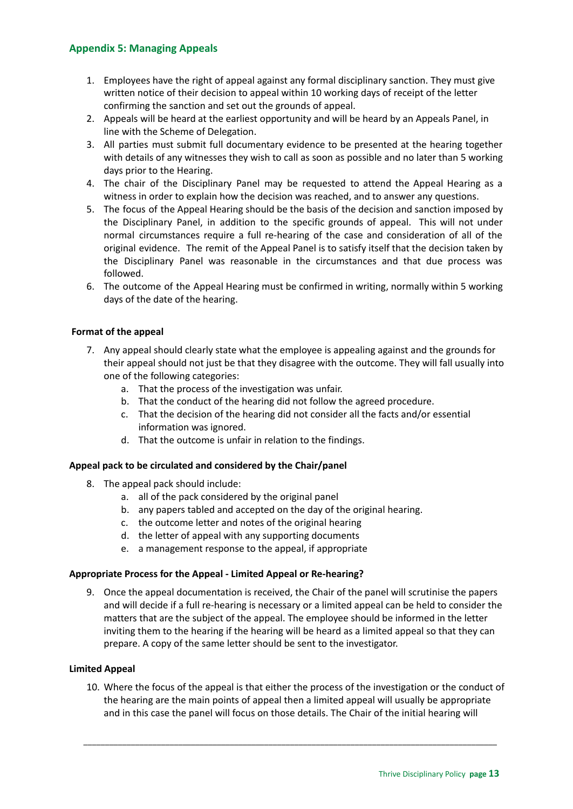# <span id="page-13-0"></span>**Appendix 5: Managing Appeals**

- 1. Employees have the right of appeal against any formal disciplinary sanction. They must give written notice of their decision to appeal within 10 working days of receipt of the letter confirming the sanction and set out the grounds of appeal.
- 2. Appeals will be heard at the earliest opportunity and will be heard by an Appeals Panel, in line with the Scheme of Delegation.
- 3. All parties must submit full documentary evidence to be presented at the hearing together with details of any witnesses they wish to call as soon as possible and no later than 5 working days prior to the Hearing.
- 4. The chair of the Disciplinary Panel may be requested to attend the Appeal Hearing as a witness in order to explain how the decision was reached, and to answer any questions.
- 5. The focus of the Appeal Hearing should be the basis of the decision and sanction imposed by the Disciplinary Panel, in addition to the specific grounds of appeal. This will not under normal circumstances require a full re-hearing of the case and consideration of all of the original evidence. The remit of the Appeal Panel is to satisfy itself that the decision taken by the Disciplinary Panel was reasonable in the circumstances and that due process was followed.
- 6. The outcome of the Appeal Hearing must be confirmed in writing, normally within 5 working days of the date of the hearing.

### **Format of the appeal**

- 7. Any appeal should clearly state what the employee is appealing against and the grounds for their appeal should not just be that they disagree with the outcome. They will fall usually into one of the following categories:
	- a. That the process of the investigation was unfair.
	- b. That the conduct of the hearing did not follow the agreed procedure.
	- c. That the decision of the hearing did not consider all the facts and/or essential information was ignored.
	- d. That the outcome is unfair in relation to the findings.

### **Appeal pack to be circulated and considered by the Chair/panel**

- 8. The appeal pack should include:
	- a. all of the pack considered by the original panel
	- b. any papers tabled and accepted on the day of the original hearing.
	- c. the outcome letter and notes of the original hearing
	- d. the letter of appeal with any supporting documents
	- e. a management response to the appeal, if appropriate

### **Appropriate Process for the Appeal - Limited Appeal or Re-hearing?**

9. Once the appeal documentation is received, the Chair of the panel will scrutinise the papers and will decide if a full re-hearing is necessary or a limited appeal can be held to consider the matters that are the subject of the appeal. The employee should be informed in the letter inviting them to the hearing if the hearing will be heard as a limited appeal so that they can prepare. A copy of the same letter should be sent to the investigator.

### **Limited Appeal**

10. Where the focus of the appeal is that either the process of the investigation or the conduct of the hearing are the main points of appeal then a limited appeal will usually be appropriate and in this case the panel will focus on those details. The Chair of the initial hearing will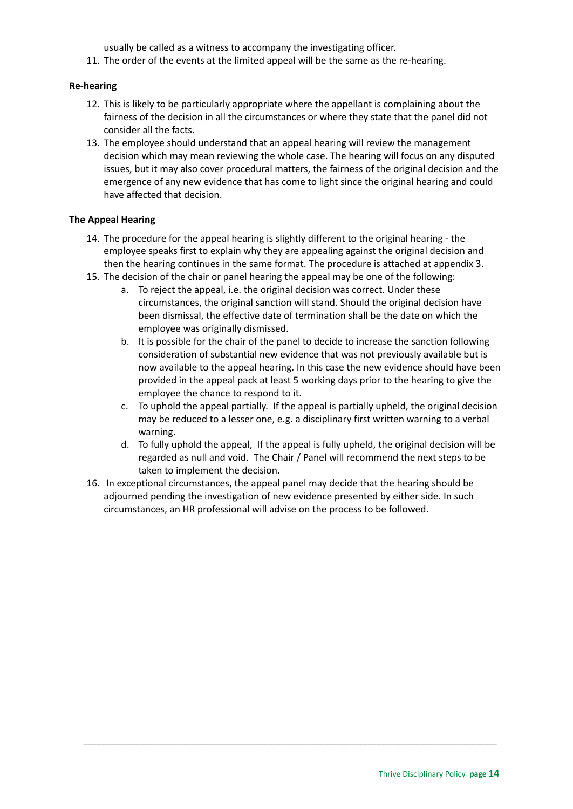usually be called as a witness to accompany the investigating officer.

11. The order of the events at the limited appeal will be the same as the re-hearing.

# **Re-hearing**

- 12. This is likely to be particularly appropriate where the appellant is complaining about the fairness of the decision in all the circumstances or where they state that the panel did not consider all the facts.
- 13. The employee should understand that an appeal hearing will review the management decision which may mean reviewing the whole case. The hearing will focus on any disputed issues, but it may also cover procedural matters, the fairness of the original decision and the emergence of any new evidence that has come to light since the original hearing and could have affected that decision.

# **The Appeal Hearing**

- 14. The procedure for the appeal hearing is slightly different to the original hearing the employee speaks first to explain why they are appealing against the original decision and then the hearing continues in the same format. The procedure is attached at appendix 3.
- 15. The decision of the chair or panel hearing the appeal may be one of the following:
	- a. To reject the appeal, i.e. the original decision was correct. Under these circumstances, the original sanction will stand. Should the original decision have been dismissal, the effective date of termination shall be the date on which the employee was originally dismissed.
	- b. It is possible for the chair of the panel to decide to increase the sanction following consideration of substantial new evidence that was not previously available but is now available to the appeal hearing. In this case the new evidence should have been provided in the appeal pack at least 5 working days prior to the hearing to give the employee the chance to respond to it.
	- c. To uphold the appeal partially. If the appeal is partially upheld, the original decision may be reduced to a lesser one, e.g. a disciplinary first written warning to a verbal warning.
	- d. To fully uphold the appeal, If the appeal is fully upheld, the original decision will be regarded as null and void. The Chair / Panel will recommend the next steps to be taken to implement the decision.
- 16. In exceptional circumstances, the appeal panel may decide that the hearing should be adjourned pending the investigation of new evidence presented by either side. In such circumstances, an HR professional will advise on the process to be followed.